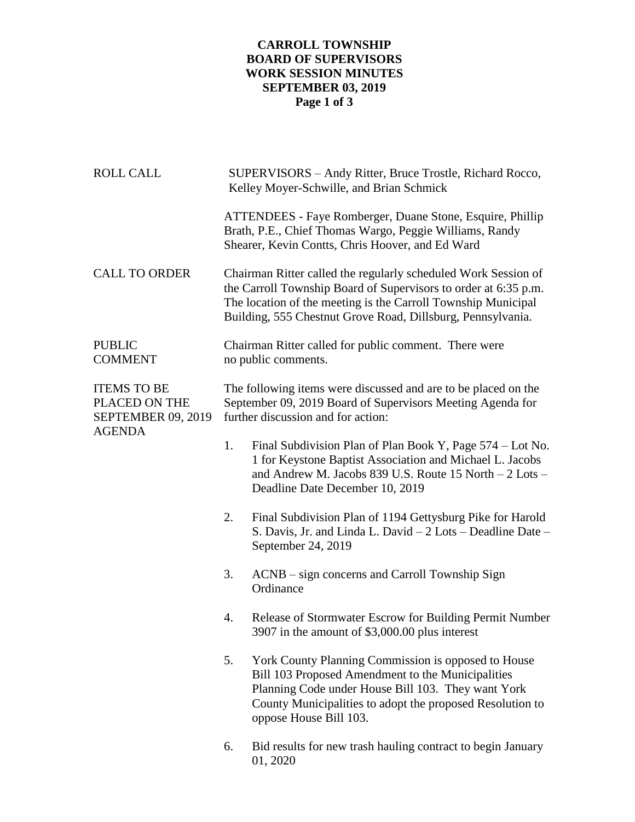## **CARROLL TOWNSHIP BOARD OF SUPERVISORS WORK SESSION MINUTES SEPTEMBER 03, 2019 Page 1 of 3**

| <b>ROLL CALL</b>                                                                  | SUPERVISORS - Andy Ritter, Bruce Trostle, Richard Rocco,<br>Kelley Moyer-Schwille, and Brian Schmick                                                                                                                                                              |                                                                                                                                                                                                                                                       |  |
|-----------------------------------------------------------------------------------|-------------------------------------------------------------------------------------------------------------------------------------------------------------------------------------------------------------------------------------------------------------------|-------------------------------------------------------------------------------------------------------------------------------------------------------------------------------------------------------------------------------------------------------|--|
|                                                                                   |                                                                                                                                                                                                                                                                   | ATTENDEES - Faye Romberger, Duane Stone, Esquire, Phillip<br>Brath, P.E., Chief Thomas Wargo, Peggie Williams, Randy<br>Shearer, Kevin Contts, Chris Hoover, and Ed Ward                                                                              |  |
| <b>CALL TO ORDER</b>                                                              | Chairman Ritter called the regularly scheduled Work Session of<br>the Carroll Township Board of Supervisors to order at 6:35 p.m.<br>The location of the meeting is the Carroll Township Municipal<br>Building, 555 Chestnut Grove Road, Dillsburg, Pennsylvania. |                                                                                                                                                                                                                                                       |  |
| <b>PUBLIC</b><br><b>COMMENT</b>                                                   | Chairman Ritter called for public comment. There were<br>no public comments.                                                                                                                                                                                      |                                                                                                                                                                                                                                                       |  |
| <b>ITEMS TO BE</b><br>PLACED ON THE<br><b>SEPTEMBER 09, 2019</b><br><b>AGENDA</b> | The following items were discussed and are to be placed on the<br>September 09, 2019 Board of Supervisors Meeting Agenda for<br>further discussion and for action:                                                                                                |                                                                                                                                                                                                                                                       |  |
|                                                                                   | 1.                                                                                                                                                                                                                                                                | Final Subdivision Plan of Plan Book Y, Page 574 – Lot No.<br>1 for Keystone Baptist Association and Michael L. Jacobs<br>and Andrew M. Jacobs 839 U.S. Route 15 North - 2 Lots -<br>Deadline Date December 10, 2019                                   |  |
|                                                                                   | 2.                                                                                                                                                                                                                                                                | Final Subdivision Plan of 1194 Gettysburg Pike for Harold<br>S. Davis, Jr. and Linda L. David – 2 Lots – Deadline Date –<br>September 24, 2019                                                                                                        |  |
|                                                                                   | 3.                                                                                                                                                                                                                                                                | ACNB – sign concerns and Carroll Township Sign<br>Ordinance                                                                                                                                                                                           |  |
|                                                                                   | 4.                                                                                                                                                                                                                                                                | Release of Stormwater Escrow for Building Permit Number<br>3907 in the amount of \$3,000.00 plus interest                                                                                                                                             |  |
|                                                                                   | 5.                                                                                                                                                                                                                                                                | York County Planning Commission is opposed to House<br>Bill 103 Proposed Amendment to the Municipalities<br>Planning Code under House Bill 103. They want York<br>County Municipalities to adopt the proposed Resolution to<br>oppose House Bill 103. |  |
|                                                                                   | 6.                                                                                                                                                                                                                                                                | Bid results for new trash hauling contract to begin January<br>01, 2020                                                                                                                                                                               |  |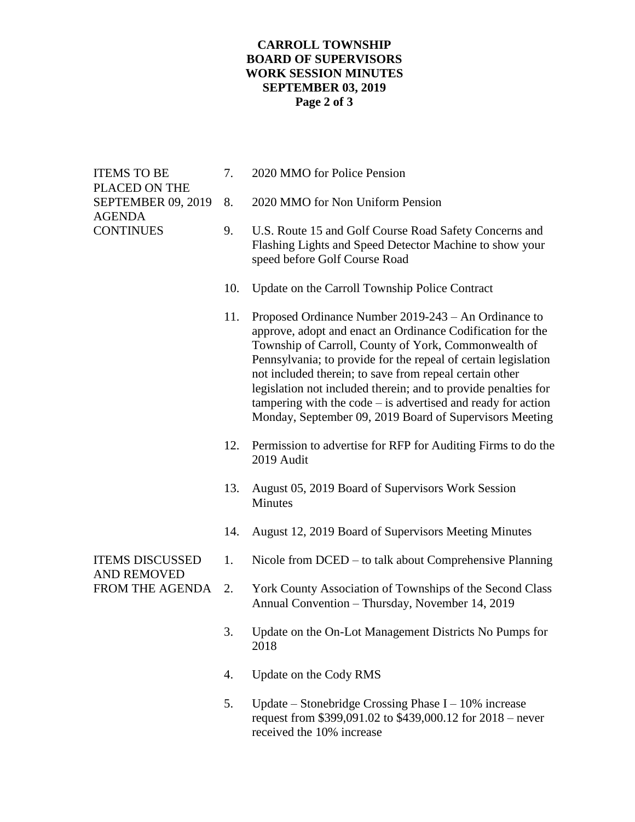## **CARROLL TOWNSHIP BOARD OF SUPERVISORS WORK SESSION MINUTES SEPTEMBER 03, 2019 Page 2 of 3**

| <b>ITEMS TO BE</b><br>PLACED ON THE<br><b>SEPTEMBER 09, 2019</b><br><b>AGENDA</b><br><b>CONTINUES</b> | 7.  | 2020 MMO for Police Pension                                                                                                                                                                                                                                                                                                                                                                                                                                                                            |
|-------------------------------------------------------------------------------------------------------|-----|--------------------------------------------------------------------------------------------------------------------------------------------------------------------------------------------------------------------------------------------------------------------------------------------------------------------------------------------------------------------------------------------------------------------------------------------------------------------------------------------------------|
|                                                                                                       | 8.  | 2020 MMO for Non Uniform Pension                                                                                                                                                                                                                                                                                                                                                                                                                                                                       |
|                                                                                                       | 9.  | U.S. Route 15 and Golf Course Road Safety Concerns and<br>Flashing Lights and Speed Detector Machine to show your<br>speed before Golf Course Road                                                                                                                                                                                                                                                                                                                                                     |
|                                                                                                       | 10. | Update on the Carroll Township Police Contract                                                                                                                                                                                                                                                                                                                                                                                                                                                         |
|                                                                                                       | 11. | Proposed Ordinance Number 2019-243 – An Ordinance to<br>approve, adopt and enact an Ordinance Codification for the<br>Township of Carroll, County of York, Commonwealth of<br>Pennsylvania; to provide for the repeal of certain legislation<br>not included therein; to save from repeal certain other<br>legislation not included therein; and to provide penalties for<br>tampering with the code $-$ is advertised and ready for action<br>Monday, September 09, 2019 Board of Supervisors Meeting |
|                                                                                                       | 12. | Permission to advertise for RFP for Auditing Firms to do the<br>2019 Audit                                                                                                                                                                                                                                                                                                                                                                                                                             |
|                                                                                                       | 13. | August 05, 2019 Board of Supervisors Work Session<br>Minutes                                                                                                                                                                                                                                                                                                                                                                                                                                           |
|                                                                                                       | 14. | August 12, 2019 Board of Supervisors Meeting Minutes                                                                                                                                                                                                                                                                                                                                                                                                                                                   |
| <b>ITEMS DISCUSSED</b><br><b>AND REMOVED</b><br>FROM THE AGENDA                                       | 1.  | Nicole from DCED – to talk about Comprehensive Planning                                                                                                                                                                                                                                                                                                                                                                                                                                                |
|                                                                                                       | 2.  | York County Association of Townships of the Second Class<br>Annual Convention - Thursday, November 14, 2019                                                                                                                                                                                                                                                                                                                                                                                            |
|                                                                                                       | 3.  | Update on the On-Lot Management Districts No Pumps for<br>2018                                                                                                                                                                                                                                                                                                                                                                                                                                         |
|                                                                                                       | 4.  | Update on the Cody RMS                                                                                                                                                                                                                                                                                                                                                                                                                                                                                 |
|                                                                                                       | 5.  | Update – Stonebridge Crossing Phase $I - 10\%$ increase<br>request from \$399,091.02 to \$439,000.12 for 2018 – never                                                                                                                                                                                                                                                                                                                                                                                  |

received the 10% increase